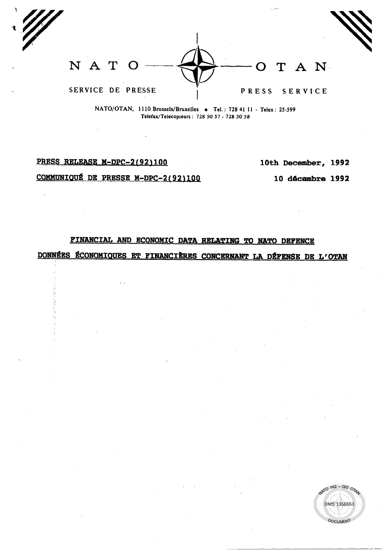N A T T A N  $\Omega$ SERVICE DE PRESSE PRESS SERVICE

NATO/OTAN, 1110 Brussels/Bruxelles • Tel.: 728 41 11 - Telex: 25-599 Telefax/Télécopieurs: 728 50 57 - 728 50 58

PRESS RELEASE M-DPC-2(92)100

10th December, 1992

COMMUNIQUÉ DE PRESSE M-DPC-2(92)100

 $\overline{1}$ 

10 décembre 1992

O HQ - QG OTA

DMS 1356553

**DOCUMENT** 

FINANCIAL AND ECONOMIC DATA RELATING TO NATO DEFENCE

DONNÉES ÉCONOMIQUES ET FINANCIÈRES CONCERNANT LA DÉFENSE DE L'OTAN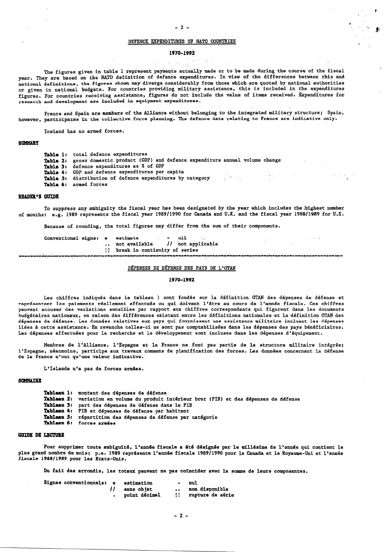$\cdot$ 

### DEFENCE EXPENDITURES OF NATO COUNTRIES

# 1970-1992

المالي

The figures given in table 1 represent payments actually made or to be made during the course of the fiscal year. They are based on the NATO definition of defence expenditures. In view of the differences between this and national definitions, the figures shown may diverge considerably from those which are quoted by national authorities or given in national budgets. For countries providing military assistance, this is included in the expenditures figures. For countries receiving assistance, figures do not include the value of items received. Expenditures for research and development are included in equipment expenditures.

France and Spain are members of the Alliance without belonging to the integrated military structure; Spain, however, participates in the collective force planning. The defence data relating to France are indicative only.

Iceland has no armed forces.

#### *RIMMARY*

 $\chi$  .

Table 1: total defence expenditures Table 2: gross domestic product (GDP) and defence expenditure annual volume change defence expenditures as % of GDP **Table 3:** Table 4: GDP and defence expenditures per capita Table 5: distribution of defence expenditures by category and the set of the set of the set of the set of the set of the set of the set of the set of the set of the set of the set of the set of the set of the set of the se Table 6: armed forces

### **READER'S GUIDE**

To suppress any ambiguity the fiscal year has been designated by the year which includes the highest number of months: e.g. 1989 represents the fiscal year 1989/1990 for Canada and U.K. and the fiscal year 1988/1989 for U.S.

Because of rounding, the total figures may differ from the sum of their components.

nil Conventional signs: e estimate  $\frac{1}{\sqrt{1 + \text{not}}}$  applicable not available || break in continuity of series 

## DÉPENSES DE DÉFENSE DES PAYS DE L'OTAN

#### 1970-1992

Les chiffres indiqués dans le tableau 1 sont fondés sur la définition OTAN des dépenses de défense et représentent les paiements réellement effectués ou qui doivent l'être au cours de l'année fiscale. Ces chiffres peuvent accuser des variations sensibles par rapport aux chiffres correspondants qui figurent dans les documents budgétaires nationaux, en raison des différences existant entre les définitions nationales et la définition OTAN des dépenses de défense. Les données relatives aux pays qui fournissent une assistance militaire incluent les dépenses liées à cette assistance. En revanche celles-ci ne sont pas comptabilisées dans les dépenses des pays bénéficiaires. Les dépenses effectuées pour la recherche et le développement sont incluses dans les dépenses d'équipement.

Membres de l'Alliance, l'Espagne et la France ne font pas partie de la structure militaire intégrée; l'Espagne, néanmoins, participe aux travaux communs de planification des forces. Les données concernant la défense<br>de la France n'ont qu'une valeur indicative.

L'Islande n'a pas de forces armées.

#### **SCHMATRE**

Tableau 1: montant des dépenses de défense

- Tableau 2: variation en volume du produit intérieur brut (PIB) et des dépenses de défense
- Tableau 3: part des dépenses de défense dans le PIB
- Tableau 4: PIB et dépenses de défense par habitant
- Tableau 5: répartition des dépenses de défense par catégorie Tableau 6: forces armées
- 

## **GUIDE DE LECTURE**

Pour supprimer toute ambiguïté, l'année fiscale a été désignée par le millésime de l'année qui contient le plus grand nombre de mois; p.e. 1989 représente l'année fiscale 1989/1990 pour le Canada et le Royaume-Uni et l'année<br>fiscale 1988/1989 pour les Etats-Unis.

Du fait des arrondis, les totaux peuvent ne pas coïncider avec la somme de leurs composantes.

| Signes conventionnels: e | estimation    | $\sim$          | nul                 |
|--------------------------|---------------|-----------------|---------------------|
|                          | sans objet    | $\cdot$ $\cdot$ | non disponible      |
|                          | point décimal |                 | ii rupture de série |

 $-2-$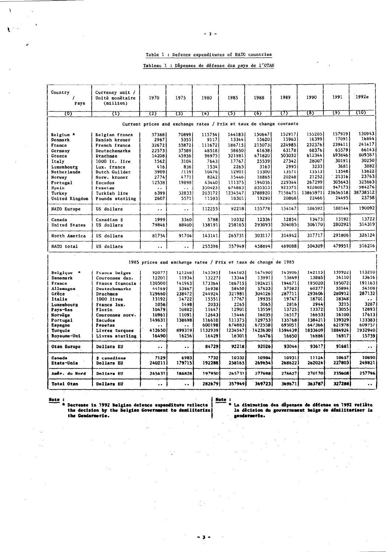Table 1 : Defence expenditures of NATO countries

# Tableau 1 : Dépenses de défense des pays de l'OTAN

| Country<br>Pays                                                                                                                                      | Currency unit /<br>Unité monétaire<br>(m11110n)                                                                                                                                                                | 1970                                                                                                                        | 1975                                                                                                                       | 1980                                                                                                               | 1985                                                                                                                    | 1988                                                                                                                      | 1989                                                                                                                     | 1990                                                                                                                       | 1991                                                                                                                     | 1992e                                                                                                                    |
|------------------------------------------------------------------------------------------------------------------------------------------------------|----------------------------------------------------------------------------------------------------------------------------------------------------------------------------------------------------------------|-----------------------------------------------------------------------------------------------------------------------------|----------------------------------------------------------------------------------------------------------------------------|--------------------------------------------------------------------------------------------------------------------|-------------------------------------------------------------------------------------------------------------------------|---------------------------------------------------------------------------------------------------------------------------|--------------------------------------------------------------------------------------------------------------------------|----------------------------------------------------------------------------------------------------------------------------|--------------------------------------------------------------------------------------------------------------------------|--------------------------------------------------------------------------------------------------------------------------|
| रठ)                                                                                                                                                  | ω                                                                                                                                                                                                              | 725                                                                                                                         | ত্ত্য                                                                                                                      | क्त                                                                                                                | ত্যে                                                                                                                    | চে                                                                                                                        | ᠓                                                                                                                        | 787                                                                                                                        | ক্যে                                                                                                                     | 710)                                                                                                                     |
|                                                                                                                                                      |                                                                                                                                                                                                                | Current prices and exchange rates / Prix et taux de change courants                                                         |                                                                                                                            |                                                                                                                    |                                                                                                                         |                                                                                                                           |                                                                                                                          |                                                                                                                            |                                                                                                                          |                                                                                                                          |
| Belgium *<br>Denmark<br>France<br>Germany<br>Greece<br>Italy<br>Luxembourg<br>Netherlands<br>Norway<br>Portugal<br>Spain<br>Turkey<br>United Kingdom | Belgian francs<br>Danish kroner<br>French francs<br>Deutschemarks<br>Drachmae<br>1000 It. 11re<br>Lux. francs<br>Dutch Guilder<br>Norw. kroner<br>Escudos<br><b>Fesetas</b><br>Turkish lire<br>Pounds sterling | 373881<br>2967<br>32672<br>225731<br>14208<br>1562<br>416<br>3909<br>2774<br>12538<br>$\bullet$ $\bullet$ .<br>6399<br>2607 | 70899<br>5355<br>55872<br>37589<br>45936<br>3104<br>836<br>71191<br>4771<br>19898<br>$\ddot{\phantom{1}}$<br>32833<br>5571 | 115754<br>9117<br>.111672<br>48518<br>96975<br>7643<br>1534<br>10476<br>8242<br>43440<br>350423<br>203172<br>11593 | 144183<br>13344<br>186715<br>58650<br>321981<br>17767<br>2265<br>12901<br>15446<br>111375<br>674883<br>1234547<br>18301 | 150647<br>156201<br>215073<br>61638<br>471820<br>25539<br>3163<br>13300<br>18865<br>194036<br>8353531<br>3788920<br>19290 | 152917<br>159631<br>224985<br>63178<br>503032<br>27342<br>2995<br>13571<br>20248<br>229344<br>923375<br>7158471<br>20868 | 155205<br>163991<br>2323761<br>68376<br>612344<br>28007<br>3233<br>13513<br>21252<br>267299<br>922808<br>13865971<br>22466 | 157919<br>17091<br>239411<br>65579<br>693846<br>30191<br>3681<br>13548<br>21316<br>305643<br>947173<br>23656518<br>24495 | 130943<br>16844<br>241417<br>66143<br>809387<br>30250<br>3882<br>13822<br>23763<br>325663<br>984276<br>38738512<br>23758 |
| NATO Europe                                                                                                                                          | US dollars                                                                                                                                                                                                     | $\ddot{\phantom{1}}$                                                                                                        | $\bullet$ $\bullet$                                                                                                        | 112255                                                                                                             | 92218                                                                                                                   | 155778                                                                                                                    | 154147                                                                                                                   | 186592                                                                                                                     | 188144                                                                                                                   | 190092                                                                                                                   |
| Canada<br>United States                                                                                                                              | Canadian S<br>US dollars                                                                                                                                                                                       | 1999<br>79846                                                                                                               | 3360<br>88400                                                                                                              | 5788<br>138191                                                                                                     | 10332<br>258165                                                                                                         | 12336<br>293093                                                                                                           | 12854<br>304085                                                                                                          | 134731<br>306170                                                                                                           | 13192<br>280292                                                                                                          | 13722<br>314319                                                                                                          |
| North America                                                                                                                                        | US dollars                                                                                                                                                                                                     | 81754                                                                                                                       | 91704                                                                                                                      | 143141                                                                                                             | 265731                                                                                                                  | 303117                                                                                                                    | 314942                                                                                                                   | 317717                                                                                                                     | 291806                                                                                                                   | 326124                                                                                                                   |
| NATO total                                                                                                                                           | US dollars                                                                                                                                                                                                     | $\ddot{\phantom{0}}$                                                                                                        | $\ddot{\phantom{0}}$                                                                                                       | 255396                                                                                                             | 3579491                                                                                                                 | 458894                                                                                                                    | 469088                                                                                                                   | 504309                                                                                                                     | 479951                                                                                                                   | 516216                                                                                                                   |
|                                                                                                                                                      |                                                                                                                                                                                                                | 1985 prices and exchange rates / Prix et taux de change de 1985                                                             |                                                                                                                            |                                                                                                                    |                                                                                                                         |                                                                                                                           |                                                                                                                          |                                                                                                                            |                                                                                                                          |                                                                                                                          |

| Belgique      | Francs belges     | 920771           | 121248               | 145395  | 144183  | 1474901  | 143906  | 142113  | 1399221 | 113210    |
|---------------|-------------------|------------------|----------------------|---------|---------|----------|---------|---------|---------|-----------|
| Danemark      | Couronnes dan.    | 12201            | 11934                | 13227   | 13344   | 13991    | 138491  | 13885   | 14110   | 13616     |
| France        | Francs francais   | 130500           | 141963               | 173364  | 186715  | 192421   | 194671  | 1950201 | 195072  | 191163    |
| Allemagne     | Deutschemarks     | 44169            | 53867                | 56938   | 58650   | 576331   | 57582   | 60277   | 55894   | 54108     |
| Grèce         | Drachmes          | 1296601          | 238472               | 244924  | 321981  | 3041261  | 287711  | 293606  | 2809121 | 287132    |
| Italie        | 1000 lires        | 13192            | 14722                | 15551   | 17767   | 19935    | 19747   | 18701.  | 18348   | $\cdots$  |
| Luxembourg    | Francs lux.       | 1056             | 1498                 | 2033    | 2265    | 3065     | 2816    | 2944    | 3215    | 3287      |
| Pays-Bas      | Florin            | 10479            | 10882                | 11647   | 12901   | 135591   | 13725   | 13372   | 13055   | 12893     |
| Norvège       | Couronnes norv.   | 10961            | 11091                | 12643   | 15446   | 160351   | 16517   | 166531  | 16100   | 17613     |
| Portugal      | Escudos           | 149631           | 138698               | 116610  | 111375  | 1297531  | 135768  | 138421  | 139329  | 133383    |
| Espagne       | Pesetas           | $\cdots$         | $\ddot{\bullet}$     | 600198  | 674683  | .6725581 | 695051  | 647366  | 621978  | 609757    |
| Turquie       | Livres turques    | 412650           | 899319               | 1132939 | 1234547 | 1423630  | 1594439 | 1833609 | 1884924 | 1932940   |
| Royaume-Uni   | Livres sterling   | 16490            | 16256                | 16429   | 18301   | 164761   | 16850   | 16886   | 16917   | 15739     |
| Otan Europe   | Dollars EU        | $\bullet\bullet$ | $\ddot{\phantom{0}}$ | 84729   | 92218   | 92026    | 93044   | 93617   | 91681   |           |
| Canada        | \$ canadiens      | 7129             | 69831                | 7732    | 10332   | 10984    | 10931   | 11124   | 10657   | 10890     |
| Etats-Unis    | Dollars EU        | 240211           | 1797151              | 192288  | 258165  | 269654   | 268622  | 262024  | 227803  | 249821    |
| Amér. du Nord | Dollars EU        | 245431           | 184828               | 197950  | 265731  | 277698   | 276627  | 270170  | 235608  | 257796    |
| Total Otan    | <b>Dollars EU</b> | $\bullet\bullet$ | $\bullet\bullet$     | 2826791 | 3579491 | 3697231  | 369671  | 363787  | 327288  | $\cdot$ . |

 $\,$ 

Ł

Note:<br>
\* Decrease in 1992 Belgian defence expenditure reflects<br>
the decision by the Belgian Government to demilitarize<br>
the Gendarmerie.

 $\sim$ 

 $-3-$ 

Note :<br>\* La diminution des dépenses de défense en 1992 reflète<br>la décision du gouvernement belge de démilitariser la gendarmerie.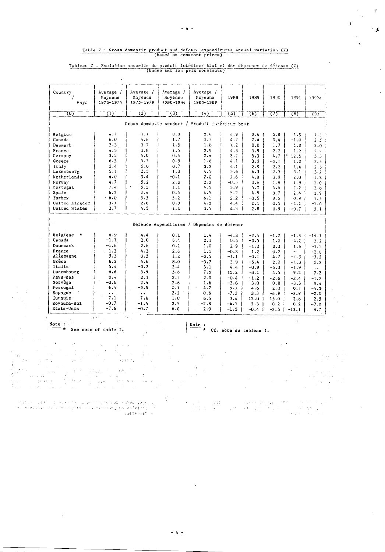# Table 2 : Cross domestic product and defence expenditures annual variation (%) (based on constant prices)

Tableau 2 : Evolution annuelle du produit intérieur brut et des dépenses de défense ( $\lambda$ )<br>(basee sur les prix constants)

| $\overline{(2)}$<br>ত্যে<br>(4)<br>755<br>$\overline{(0)}$<br>$\overline{\mathfrak{a}}$<br>77<br>$\overline{(6)}$<br>$\overline{8}$<br>Gross domestic product / Produit interieur brut<br>4.7<br>$3 - 1$<br>0.3<br>$2 - 6$<br>4.9<br>Belgium<br>3.8<br>3.6 <sub>1</sub><br>1.5<br>6.0<br>4.8<br>1.7<br>3.7<br>4.7<br>Canada<br>2.4<br>0.4<br>$-1.0$<br>3.7<br>3.3<br>1.5<br>1.8<br>$\lambda$ . 2<br>Denmark<br>0.8<br>1.7<br>1.0<br>4.5<br>3.8<br>1.5<br>$2 - 9$<br>France<br>4.3<br>3.9<br>2.2<br>1.2<br>3.5<br>4.0<br>2.4<br>0.4<br>3.7<br>$5.7$   <br>Germany<br>3.3<br>12.5<br>5.3<br>6.5<br>0.5<br>$1 - 6$<br>Greece<br>4.1<br>3.5<br>$-0.1$<br>1.2<br>5.0<br>0.7<br>3.4<br>$3 - 2$<br>Italy<br>4.1<br>2.9<br>2.2<br>1.4<br>2.5<br>5.1<br>1.3<br>4.5<br>Luxembourg<br>5.6<br>6.3<br>2.3<br>3.1<br>4.0<br>3.4<br>-0.1<br>2.0<br>Netherlands<br>2.6<br>4.0<br>3.9<br>2.0<br>4.7<br>5.2<br>Norvay<br>$2 - 0$<br>$2 - 2$<br>$-0.5$<br>0.4<br>1.8<br>1.9<br>Portugal<br>7.4<br>5.5<br>4.5<br>1.1<br>3.9<br>5.2<br>4.4<br>2.2<br>$6 - 3$<br>2.4<br>4:5<br>Spain<br>0.5<br>5.2<br>4.8<br>3.7<br>$2 - 4$<br>6.0<br>5.5<br>5.2<br>Turkey<br>6.1<br>2.2<br>-0.5<br>9.6<br>$0.9 -$<br>United Kingdom<br>3.1<br>2.8<br>0.9<br>4.2<br>4.4<br>2.1<br>0.5<br>$-2.2$<br>3.7<br>United States<br>4.5<br>1.6<br>3.5<br>4.5<br>2.8<br>0.9<br>$-0.71$<br>Defence expenditures / Dépenses de défense<br>Belgique *<br>4.9<br>4.4<br>0.1<br>1.4<br>$-4.3$<br>$-2.4$<br>$-1.2$<br>$-1.5 \pm$<br>$-1.1$<br>2.0<br>6.4<br>2.1<br>Canada<br>0.5<br>$-0.5$<br>1.8<br>$-4.2$<br>Danemark<br>$-1.6$<br>2.6<br>0.2<br>1.0<br>2.9<br>$-1.0$<br>0.3<br>1.6<br>France<br>1.2<br>4.3<br>2.6<br>1.1<br>$-0.3$<br>1.2<br>0.2<br>$\overline{\phantom{a}}$<br>Allemagne<br>5.3<br>0.5<br>1.2<br>$-0.5$<br>$-1.1$<br>$-0.1$<br>4.7<br>$-7.3$<br>Grèce<br>6.2<br>4.6<br>8.0<br>$-3.7$<br>3.9<br>$-5.4$<br>2.0<br>$-4.3$<br>Italie<br>5.4<br>$-0.2$<br>2.4<br>3.1<br>4.4<br>$-0.9$<br>$-5.3$<br>$-1.9$<br>Luxembourg<br>6.6<br>3.9<br>3.8<br>7.5<br>15.2<br>-8.1<br>4.5<br>9.2 <sub>1</sub><br>Pays-Bas<br>0.4<br>2.3<br>2.7<br>2.0<br>$-0.4$<br>1.2<br>$-2.6$<br>$-2.4$<br>Norvège<br>$-0.6$<br>2.4<br>2.6<br>1.6<br>$-3.6$<br>3.0<br>0.8<br>$-3.3$<br>Portugal<br>$-9.5$<br>6.4<br>0.1<br>4.7<br>9.1<br>4.6<br>2.0<br>0.7<br>Espagne<br>2.2<br>0.6<br>$-7.3$<br>$\ddot{\phantom{a}}$<br>3.3<br>-6.9<br>$-3.9$<br>$\ddot{\phantom{a}}$<br>7.1<br>Turquie<br>7.6<br>1.0<br>6.5<br>3.4<br>12.0<br>15.0<br>2.8<br>$-0.7$<br>Rovaume-Uni<br>$-1.4$<br>2.5<br>$-2.8$<br>$-4.1$<br>2.3<br>0.2<br>0.2<br>$-7.6$<br>$-0.7$<br>Etats-Unis<br>6.0<br>2.0<br>$-1.5$<br>-0.4<br>$-2.5$<br>$-13.1$<br>5. L<br>$\mu \rightarrow \pi$<br>Note:<br>Note : | Country<br>Pays | Average $/$<br>Movenne<br>1970-1974 | Average /<br>Moyenne<br>1975-1979 | Average $/$<br>Movenne<br>1980~1984 | Average /<br>Moyenne<br>1985-1989 | 1988 | 1989 | 1990 | 1991 | 1992e                       |
|--------------------------------------------------------------------------------------------------------------------------------------------------------------------------------------------------------------------------------------------------------------------------------------------------------------------------------------------------------------------------------------------------------------------------------------------------------------------------------------------------------------------------------------------------------------------------------------------------------------------------------------------------------------------------------------------------------------------------------------------------------------------------------------------------------------------------------------------------------------------------------------------------------------------------------------------------------------------------------------------------------------------------------------------------------------------------------------------------------------------------------------------------------------------------------------------------------------------------------------------------------------------------------------------------------------------------------------------------------------------------------------------------------------------------------------------------------------------------------------------------------------------------------------------------------------------------------------------------------------------------------------------------------------------------------------------------------------------------------------------------------------------------------------------------------------------------------------------------------------------------------------------------------------------------------------------------------------------------------------------------------------------------------------------------------------------------------------------------------------------------------------------------------------------------------------------------------------------------------------------------------------------------------------------------------------------------------------------------------------------------------------------------------------------------------------------------------------------------------------------------------------------------------------------------------------------------------------------------------------------------------------------------------------------------------------------------------|-----------------|-------------------------------------|-----------------------------------|-------------------------------------|-----------------------------------|------|------|------|------|-----------------------------|
|                                                                                                                                                                                                                                                                                                                                                                                                                                                                                                                                                                                                                                                                                                                                                                                                                                                                                                                                                                                                                                                                                                                                                                                                                                                                                                                                                                                                                                                                                                                                                                                                                                                                                                                                                                                                                                                                                                                                                                                                                                                                                                                                                                                                                                                                                                                                                                                                                                                                                                                                                                                                                                                                                                        |                 |                                     |                                   |                                     |                                   |      |      |      |      | $\overline{(9)}$            |
|                                                                                                                                                                                                                                                                                                                                                                                                                                                                                                                                                                                                                                                                                                                                                                                                                                                                                                                                                                                                                                                                                                                                                                                                                                                                                                                                                                                                                                                                                                                                                                                                                                                                                                                                                                                                                                                                                                                                                                                                                                                                                                                                                                                                                                                                                                                                                                                                                                                                                                                                                                                                                                                                                                        |                 |                                     |                                   |                                     |                                   |      |      |      |      |                             |
|                                                                                                                                                                                                                                                                                                                                                                                                                                                                                                                                                                                                                                                                                                                                                                                                                                                                                                                                                                                                                                                                                                                                                                                                                                                                                                                                                                                                                                                                                                                                                                                                                                                                                                                                                                                                                                                                                                                                                                                                                                                                                                                                                                                                                                                                                                                                                                                                                                                                                                                                                                                                                                                                                                        |                 |                                     |                                   |                                     |                                   |      |      |      |      | $1 - 6$                     |
|                                                                                                                                                                                                                                                                                                                                                                                                                                                                                                                                                                                                                                                                                                                                                                                                                                                                                                                                                                                                                                                                                                                                                                                                                                                                                                                                                                                                                                                                                                                                                                                                                                                                                                                                                                                                                                                                                                                                                                                                                                                                                                                                                                                                                                                                                                                                                                                                                                                                                                                                                                                                                                                                                                        |                 |                                     |                                   |                                     |                                   |      |      |      |      | 2, 5                        |
|                                                                                                                                                                                                                                                                                                                                                                                                                                                                                                                                                                                                                                                                                                                                                                                                                                                                                                                                                                                                                                                                                                                                                                                                                                                                                                                                                                                                                                                                                                                                                                                                                                                                                                                                                                                                                                                                                                                                                                                                                                                                                                                                                                                                                                                                                                                                                                                                                                                                                                                                                                                                                                                                                                        |                 |                                     |                                   |                                     |                                   |      |      |      |      | 2.0                         |
|                                                                                                                                                                                                                                                                                                                                                                                                                                                                                                                                                                                                                                                                                                                                                                                                                                                                                                                                                                                                                                                                                                                                                                                                                                                                                                                                                                                                                                                                                                                                                                                                                                                                                                                                                                                                                                                                                                                                                                                                                                                                                                                                                                                                                                                                                                                                                                                                                                                                                                                                                                                                                                                                                                        |                 |                                     |                                   |                                     |                                   |      |      |      |      | 2.2                         |
|                                                                                                                                                                                                                                                                                                                                                                                                                                                                                                                                                                                                                                                                                                                                                                                                                                                                                                                                                                                                                                                                                                                                                                                                                                                                                                                                                                                                                                                                                                                                                                                                                                                                                                                                                                                                                                                                                                                                                                                                                                                                                                                                                                                                                                                                                                                                                                                                                                                                                                                                                                                                                                                                                                        |                 |                                     |                                   |                                     |                                   |      |      |      |      | 3.5                         |
|                                                                                                                                                                                                                                                                                                                                                                                                                                                                                                                                                                                                                                                                                                                                                                                                                                                                                                                                                                                                                                                                                                                                                                                                                                                                                                                                                                                                                                                                                                                                                                                                                                                                                                                                                                                                                                                                                                                                                                                                                                                                                                                                                                                                                                                                                                                                                                                                                                                                                                                                                                                                                                                                                                        |                 |                                     |                                   |                                     |                                   |      |      |      |      | 2.5                         |
|                                                                                                                                                                                                                                                                                                                                                                                                                                                                                                                                                                                                                                                                                                                                                                                                                                                                                                                                                                                                                                                                                                                                                                                                                                                                                                                                                                                                                                                                                                                                                                                                                                                                                                                                                                                                                                                                                                                                                                                                                                                                                                                                                                                                                                                                                                                                                                                                                                                                                                                                                                                                                                                                                                        |                 |                                     |                                   |                                     |                                   |      |      |      |      | 2.5                         |
|                                                                                                                                                                                                                                                                                                                                                                                                                                                                                                                                                                                                                                                                                                                                                                                                                                                                                                                                                                                                                                                                                                                                                                                                                                                                                                                                                                                                                                                                                                                                                                                                                                                                                                                                                                                                                                                                                                                                                                                                                                                                                                                                                                                                                                                                                                                                                                                                                                                                                                                                                                                                                                                                                                        |                 |                                     |                                   |                                     |                                   |      |      |      |      | $3 - 2$                     |
|                                                                                                                                                                                                                                                                                                                                                                                                                                                                                                                                                                                                                                                                                                                                                                                                                                                                                                                                                                                                                                                                                                                                                                                                                                                                                                                                                                                                                                                                                                                                                                                                                                                                                                                                                                                                                                                                                                                                                                                                                                                                                                                                                                                                                                                                                                                                                                                                                                                                                                                                                                                                                                                                                                        |                 |                                     |                                   |                                     |                                   |      |      |      |      | 1.2                         |
|                                                                                                                                                                                                                                                                                                                                                                                                                                                                                                                                                                                                                                                                                                                                                                                                                                                                                                                                                                                                                                                                                                                                                                                                                                                                                                                                                                                                                                                                                                                                                                                                                                                                                                                                                                                                                                                                                                                                                                                                                                                                                                                                                                                                                                                                                                                                                                                                                                                                                                                                                                                                                                                                                                        |                 |                                     |                                   |                                     |                                   |      |      |      |      | 2.0                         |
|                                                                                                                                                                                                                                                                                                                                                                                                                                                                                                                                                                                                                                                                                                                                                                                                                                                                                                                                                                                                                                                                                                                                                                                                                                                                                                                                                                                                                                                                                                                                                                                                                                                                                                                                                                                                                                                                                                                                                                                                                                                                                                                                                                                                                                                                                                                                                                                                                                                                                                                                                                                                                                                                                                        |                 |                                     |                                   |                                     |                                   |      |      |      |      | 2.8                         |
|                                                                                                                                                                                                                                                                                                                                                                                                                                                                                                                                                                                                                                                                                                                                                                                                                                                                                                                                                                                                                                                                                                                                                                                                                                                                                                                                                                                                                                                                                                                                                                                                                                                                                                                                                                                                                                                                                                                                                                                                                                                                                                                                                                                                                                                                                                                                                                                                                                                                                                                                                                                                                                                                                                        |                 |                                     |                                   |                                     |                                   |      |      |      |      |                             |
|                                                                                                                                                                                                                                                                                                                                                                                                                                                                                                                                                                                                                                                                                                                                                                                                                                                                                                                                                                                                                                                                                                                                                                                                                                                                                                                                                                                                                                                                                                                                                                                                                                                                                                                                                                                                                                                                                                                                                                                                                                                                                                                                                                                                                                                                                                                                                                                                                                                                                                                                                                                                                                                                                                        |                 |                                     |                                   |                                     |                                   |      |      |      |      | 2.9                         |
|                                                                                                                                                                                                                                                                                                                                                                                                                                                                                                                                                                                                                                                                                                                                                                                                                                                                                                                                                                                                                                                                                                                                                                                                                                                                                                                                                                                                                                                                                                                                                                                                                                                                                                                                                                                                                                                                                                                                                                                                                                                                                                                                                                                                                                                                                                                                                                                                                                                                                                                                                                                                                                                                                                        |                 |                                     |                                   |                                     |                                   |      |      |      |      | 5.5                         |
|                                                                                                                                                                                                                                                                                                                                                                                                                                                                                                                                                                                                                                                                                                                                                                                                                                                                                                                                                                                                                                                                                                                                                                                                                                                                                                                                                                                                                                                                                                                                                                                                                                                                                                                                                                                                                                                                                                                                                                                                                                                                                                                                                                                                                                                                                                                                                                                                                                                                                                                                                                                                                                                                                                        |                 |                                     |                                   |                                     |                                   |      |      |      |      | $-1.0$<br>2.1               |
|                                                                                                                                                                                                                                                                                                                                                                                                                                                                                                                                                                                                                                                                                                                                                                                                                                                                                                                                                                                                                                                                                                                                                                                                                                                                                                                                                                                                                                                                                                                                                                                                                                                                                                                                                                                                                                                                                                                                                                                                                                                                                                                                                                                                                                                                                                                                                                                                                                                                                                                                                                                                                                                                                                        |                 |                                     |                                   |                                     |                                   |      |      |      |      |                             |
|                                                                                                                                                                                                                                                                                                                                                                                                                                                                                                                                                                                                                                                                                                                                                                                                                                                                                                                                                                                                                                                                                                                                                                                                                                                                                                                                                                                                                                                                                                                                                                                                                                                                                                                                                                                                                                                                                                                                                                                                                                                                                                                                                                                                                                                                                                                                                                                                                                                                                                                                                                                                                                                                                                        |                 |                                     |                                   |                                     |                                   |      |      |      |      | $-19.1$                     |
|                                                                                                                                                                                                                                                                                                                                                                                                                                                                                                                                                                                                                                                                                                                                                                                                                                                                                                                                                                                                                                                                                                                                                                                                                                                                                                                                                                                                                                                                                                                                                                                                                                                                                                                                                                                                                                                                                                                                                                                                                                                                                                                                                                                                                                                                                                                                                                                                                                                                                                                                                                                                                                                                                                        |                 |                                     |                                   |                                     |                                   |      |      |      |      | 2.2                         |
|                                                                                                                                                                                                                                                                                                                                                                                                                                                                                                                                                                                                                                                                                                                                                                                                                                                                                                                                                                                                                                                                                                                                                                                                                                                                                                                                                                                                                                                                                                                                                                                                                                                                                                                                                                                                                                                                                                                                                                                                                                                                                                                                                                                                                                                                                                                                                                                                                                                                                                                                                                                                                                                                                                        |                 |                                     |                                   |                                     |                                   |      |      |      |      | $-3.5$                      |
|                                                                                                                                                                                                                                                                                                                                                                                                                                                                                                                                                                                                                                                                                                                                                                                                                                                                                                                                                                                                                                                                                                                                                                                                                                                                                                                                                                                                                                                                                                                                                                                                                                                                                                                                                                                                                                                                                                                                                                                                                                                                                                                                                                                                                                                                                                                                                                                                                                                                                                                                                                                                                                                                                                        |                 |                                     |                                   |                                     |                                   |      |      |      |      | $-2.0$                      |
|                                                                                                                                                                                                                                                                                                                                                                                                                                                                                                                                                                                                                                                                                                                                                                                                                                                                                                                                                                                                                                                                                                                                                                                                                                                                                                                                                                                                                                                                                                                                                                                                                                                                                                                                                                                                                                                                                                                                                                                                                                                                                                                                                                                                                                                                                                                                                                                                                                                                                                                                                                                                                                                                                                        |                 |                                     |                                   |                                     |                                   |      |      |      |      | $-3.2$                      |
|                                                                                                                                                                                                                                                                                                                                                                                                                                                                                                                                                                                                                                                                                                                                                                                                                                                                                                                                                                                                                                                                                                                                                                                                                                                                                                                                                                                                                                                                                                                                                                                                                                                                                                                                                                                                                                                                                                                                                                                                                                                                                                                                                                                                                                                                                                                                                                                                                                                                                                                                                                                                                                                                                                        |                 |                                     |                                   |                                     |                                   |      |      |      |      | 2.2                         |
|                                                                                                                                                                                                                                                                                                                                                                                                                                                                                                                                                                                                                                                                                                                                                                                                                                                                                                                                                                                                                                                                                                                                                                                                                                                                                                                                                                                                                                                                                                                                                                                                                                                                                                                                                                                                                                                                                                                                                                                                                                                                                                                                                                                                                                                                                                                                                                                                                                                                                                                                                                                                                                                                                                        |                 |                                     |                                   |                                     |                                   |      |      |      |      | $\mathbf{c}$ . $\mathbf{p}$ |
|                                                                                                                                                                                                                                                                                                                                                                                                                                                                                                                                                                                                                                                                                                                                                                                                                                                                                                                                                                                                                                                                                                                                                                                                                                                                                                                                                                                                                                                                                                                                                                                                                                                                                                                                                                                                                                                                                                                                                                                                                                                                                                                                                                                                                                                                                                                                                                                                                                                                                                                                                                                                                                                                                                        |                 |                                     |                                   |                                     |                                   |      |      |      |      | 2.2                         |
|                                                                                                                                                                                                                                                                                                                                                                                                                                                                                                                                                                                                                                                                                                                                                                                                                                                                                                                                                                                                                                                                                                                                                                                                                                                                                                                                                                                                                                                                                                                                                                                                                                                                                                                                                                                                                                                                                                                                                                                                                                                                                                                                                                                                                                                                                                                                                                                                                                                                                                                                                                                                                                                                                                        |                 |                                     |                                   |                                     |                                   |      |      |      |      | $-1.2$                      |
|                                                                                                                                                                                                                                                                                                                                                                                                                                                                                                                                                                                                                                                                                                                                                                                                                                                                                                                                                                                                                                                                                                                                                                                                                                                                                                                                                                                                                                                                                                                                                                                                                                                                                                                                                                                                                                                                                                                                                                                                                                                                                                                                                                                                                                                                                                                                                                                                                                                                                                                                                                                                                                                                                                        |                 |                                     |                                   |                                     |                                   |      |      |      |      | 9.4                         |
|                                                                                                                                                                                                                                                                                                                                                                                                                                                                                                                                                                                                                                                                                                                                                                                                                                                                                                                                                                                                                                                                                                                                                                                                                                                                                                                                                                                                                                                                                                                                                                                                                                                                                                                                                                                                                                                                                                                                                                                                                                                                                                                                                                                                                                                                                                                                                                                                                                                                                                                                                                                                                                                                                                        |                 |                                     |                                   |                                     |                                   |      |      |      |      | $-4.3$                      |
|                                                                                                                                                                                                                                                                                                                                                                                                                                                                                                                                                                                                                                                                                                                                                                                                                                                                                                                                                                                                                                                                                                                                                                                                                                                                                                                                                                                                                                                                                                                                                                                                                                                                                                                                                                                                                                                                                                                                                                                                                                                                                                                                                                                                                                                                                                                                                                                                                                                                                                                                                                                                                                                                                                        |                 |                                     |                                   |                                     |                                   |      |      |      |      | $-2.0$                      |
|                                                                                                                                                                                                                                                                                                                                                                                                                                                                                                                                                                                                                                                                                                                                                                                                                                                                                                                                                                                                                                                                                                                                                                                                                                                                                                                                                                                                                                                                                                                                                                                                                                                                                                                                                                                                                                                                                                                                                                                                                                                                                                                                                                                                                                                                                                                                                                                                                                                                                                                                                                                                                                                                                                        |                 |                                     |                                   |                                     |                                   |      |      |      |      | 2.5                         |
|                                                                                                                                                                                                                                                                                                                                                                                                                                                                                                                                                                                                                                                                                                                                                                                                                                                                                                                                                                                                                                                                                                                                                                                                                                                                                                                                                                                                                                                                                                                                                                                                                                                                                                                                                                                                                                                                                                                                                                                                                                                                                                                                                                                                                                                                                                                                                                                                                                                                                                                                                                                                                                                                                                        |                 |                                     |                                   |                                     |                                   |      |      |      |      | $-7.0$                      |
|                                                                                                                                                                                                                                                                                                                                                                                                                                                                                                                                                                                                                                                                                                                                                                                                                                                                                                                                                                                                                                                                                                                                                                                                                                                                                                                                                                                                                                                                                                                                                                                                                                                                                                                                                                                                                                                                                                                                                                                                                                                                                                                                                                                                                                                                                                                                                                                                                                                                                                                                                                                                                                                                                                        |                 |                                     |                                   |                                     |                                   |      |      |      |      | 9.7                         |
|                                                                                                                                                                                                                                                                                                                                                                                                                                                                                                                                                                                                                                                                                                                                                                                                                                                                                                                                                                                                                                                                                                                                                                                                                                                                                                                                                                                                                                                                                                                                                                                                                                                                                                                                                                                                                                                                                                                                                                                                                                                                                                                                                                                                                                                                                                                                                                                                                                                                                                                                                                                                                                                                                                        |                 |                                     |                                   |                                     |                                   |      |      |      |      |                             |
| $\star$<br>See note of table 1.<br>$\star$<br>Cf. note du tableau 1.                                                                                                                                                                                                                                                                                                                                                                                                                                                                                                                                                                                                                                                                                                                                                                                                                                                                                                                                                                                                                                                                                                                                                                                                                                                                                                                                                                                                                                                                                                                                                                                                                                                                                                                                                                                                                                                                                                                                                                                                                                                                                                                                                                                                                                                                                                                                                                                                                                                                                                                                                                                                                                   |                 |                                     |                                   |                                     |                                   |      |      |      |      |                             |

 $\ddot{\cdot}$ 

k,

 $-4 -$ 

 $\bar{z}$ 

Ŕ

นทางเป็นปี 1984 เป็นปี 1988 เป็นปี 1989 เป็นปี 1989 เป็นปี 1989 เป็นปี 1989 เป็นปี 1989 เป็นปี 1989 เป็นปี 198<br>การเป็นปี 1988 เป็นปี 1989 เป็นปี 1989 เป็นปี 1989 เป็นปี 1989 เป็นปี 1989 เป็นปี 1989 เป็นปี 1989 เป็นปี 198<br>  $\frac{1}{\sqrt{2}}\leq 1$ 

 $\epsilon$ 

 $\bar{\omega}$ 

وفرور

 $\frac{1}{\sqrt{2}}$ 

 $\sim$   $\sim$ 

 $\mathcal{G}^{\mathcal{E}}$ 

化单元

 $\bar{z}$ 

Ÿ,

 $\ddot{\phantom{a}}$ 

 $\langle \mu | \mu \rangle_{\frac{1}{2}}$  ).

 $\frac{1}{2}$  ,  $\frac{1}{2}$  $\hat{\phi}_{\alpha\beta}$ 

> $\frac{1}{2}$  $\sqrt{11}$  $\beta$  ,  $\beta$  ,  $\beta$  ,  $\alpha$  $\ddot{\phantom{1}}$ Portland and program **Park**  $\hat{\boldsymbol{r}}$  $\bar{\gamma}$  $\sim$   $\sim$  $\mathcal{L}_{\mathcal{F}}$  $\sqrt{2}$  .  $\bar{u}$ **Track**  $\mathbb{R}^2$

 $\bar{\rm r}$ 

 $\pmb{f}$ 

l,

 $\sim 1$ 

 $\sim$ 

 $\bar{\mathbf{z}}$ 

 $\mathcal{A}$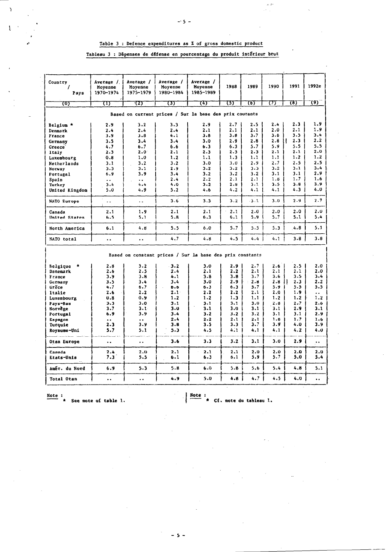.<br>A

# Table 3 : Defence expenditures as % of gross domestic product

Tableau 3 : Dépenses de défense en pourcentage du produit intérieur brut

| Country<br>Pays                                         | Average /<br>Moyenne<br>1970-1974 | Average /<br>Moyenne<br>1975-1979 | Average /<br>Moyenne<br>1980-1984                         | Average /<br>Moyenne<br>1985-1989 | 1988    | 1989    | 1990 | 1991                | 1992e                |  |  |  |
|---------------------------------------------------------|-----------------------------------|-----------------------------------|-----------------------------------------------------------|-----------------------------------|---------|---------|------|---------------------|----------------------|--|--|--|
| ত্যে                                                    | ᠓                                 | 72)                               | ঢ্যে                                                      | ব্যে                              | 755     | চ্যে    | π    | (8)                 | (9)                  |  |  |  |
|                                                         |                                   |                                   |                                                           |                                   |         |         |      |                     |                      |  |  |  |
| Based on current prices / Sur la base des prix courants |                                   |                                   |                                                           |                                   |         |         |      |                     |                      |  |  |  |
| Belgium *                                               | 2.9                               | 3.2                               | 3.3                                                       | 2.9                               | 2.7     | 2.5     | 2.4  | 2.3                 | 1.9                  |  |  |  |
| Denmark                                                 | 2.4                               | 2.4                               | 2.4                                                       | 2.1                               | 2.1     | 2.1     | 2.0  | 2.1                 | 1.9                  |  |  |  |
| France                                                  | 3.9                               | 3.8                               | 4.1                                                       | 3.8                               | 3.8     | 3.7     | 3.6  | 3.5                 | 3.4                  |  |  |  |
| Germany                                                 | 3.5                               | 3.4                               | 3.4                                                       | 3.0                               | 2.9     | 2.8     | 2.8  | 2.3                 | 2.2                  |  |  |  |
| Greece <sup>7</sup>                                     | 4.7                               | 6.7                               | 6.6                                                       | 6.3                               | 6.3     | 5.7     | 5.9  | 5.5                 | 5.5                  |  |  |  |
| Italy                                                   | 2.5                               | $2.0^{\circ}$                     | 2.1                                                       | 2.3                               | 2.3     | 2.3     | 2.1  | 2.1                 | 2.0                  |  |  |  |
| Luxembourg                                              | 0.8                               | 1.0                               | 1.2                                                       | 1.1                               | 1.3     | 1.1     | 1.1  | 1.2                 | 1.2                  |  |  |  |
| Netherlands                                             | 3.1                               | 3.2                               | 3.2                                                       | 3.0                               | 3.0     | 2.9     | 2.7  | 2.5                 | 2.5                  |  |  |  |
| Norway                                                  | 3.3                               | 3.1                               | 2.9                                                       | 3.2                               | $3 - 2$ | 3.3     | 3.2  | 3.1                 | 3.4                  |  |  |  |
| Portugal                                                | 6.9                               | 3.9                               | 3.4                                                       | 3.2                               | 3.2     | 3.2     | 3.1  | 3.1                 | 2.9                  |  |  |  |
| Spain                                                   | $\ddot{\phantom{a}}$              | $\ddot{\phantom{1}}$              | 2.4                                                       | 2.2                               | 2.1     | 2.1     | 1.8  | 1.7                 | 1.6                  |  |  |  |
| Turkey                                                  | 3.4                               | 4.4                               | 4.0                                                       | 3.2                               | 2.8     | $3 - 1$ | 3.5  | 3.8                 | 3.9                  |  |  |  |
| United Kingdom                                          | 5.0                               | 4.9                               | 5.2                                                       | 4.6                               | 4.2     | 4.1     | 4.1  | 4.3                 | 4.0                  |  |  |  |
| NATO Europe                                             | $\ddot{\phantom{a}}$              | $\ddot{\phantom{a}}$              | 3.6                                                       | 3.3                               | 3.2     | 3.1     | 3.0  | 2.9                 | 2.7                  |  |  |  |
| Canada                                                  | 2.1                               | 1.9                               | 2.1                                                       | 2.1                               | 2.1     | 2.0     | 2.0  | 2.0                 | 2.0                  |  |  |  |
| United States                                           | 6.5                               | 5.1                               | 5.8                                                       | 6.3                               | 6.1     | 5.9     | 5.7  | 5.1                 | 5.4                  |  |  |  |
| North America                                           | 6.1                               | 4.8                               | 5.5                                                       | 6.0                               | 5.7     | 5.5     | 5.3  | 4.8                 | 5.1                  |  |  |  |
| NATO total                                              | $\ddot{\phantom{a}}$              | $\ddot{\phantom{a}}$              | 4.7                                                       | 4.8                               | 4.5     | 4.4     | 4.1  | 3.8                 | 3.8                  |  |  |  |
|                                                         |                                   |                                   | Based on constant prices / Sur la base des prix constants |                                   |         |         |      |                     |                      |  |  |  |
| Belgique                                                | 2.8                               | 3.2                               | $-3.2$                                                    | 3.0                               | 2.9     | 2.7     | 2.6  | 2.5                 | 2.0                  |  |  |  |
| Danemark                                                | 2.6                               | 2.5                               | 2.4                                                       | 2.1                               | 2.2     | 2.1     | 2.1  | 2.1                 | 2.0                  |  |  |  |
| France                                                  | 3.9                               | 3.8                               | 4.1                                                       | 3.8                               | 3.8     | 3.7     | 3.6  | 3.5                 | 3.4                  |  |  |  |
| Germany                                                 | 3.5                               | 3.4                               | 3.4                                                       | 3.0                               | $2.9 -$ | $2 - 6$ | 2.8  | $\mathbf{r}$<br>2.3 | 2.2                  |  |  |  |
| Grēce                                                   | 4.7                               | 6.7                               | 6.6                                                       | $6 - 3$                           | 6.3     | 5.7     | 5.9  | 5.5                 | 5.5                  |  |  |  |
| Italie                                                  | 2.6                               | $2 - 2$                           | 2.1                                                       | 2.2                               | 2.2     | 2.1     | 2.0  | 1.9                 | . .                  |  |  |  |
| Luxembourg                                              | 0.8                               | 0.9                               | 1.2                                                       | 1.2                               | 1.3     | 1.1     | 1.2  | 1.2                 | 1.2                  |  |  |  |
| Pays-Bas                                                | 3.3                               | 3.0                               | 3.1                                                       | 3.1                               | 3.1     | 3.0     | 2.8  | 2.7                 | 2.6                  |  |  |  |
| Norvege                                                 | 3.7                               | $3 - 1$                           | 3.0                                                       | 3.1                               | 3.0     | 3.1     | 3.1  | 2.9                 | 3.1                  |  |  |  |
| Portugal                                                | 6.9                               | 3.9                               | 3.4                                                       | 3.2                               | 3.2     | 3.2     | 3.1  | 3.1                 | 2.9                  |  |  |  |
| Espagne                                                 | $\ddot{\phantom{1}}$              | $\ddot{\phantom{a}}$              | 2.4                                                       | 2.2                               | 2.1     | 2.1     | 1.8  | 1.7                 | 1.6                  |  |  |  |
| Turquie                                                 | 2.3                               | 3.9                               | 3.8                                                       | 3.5                               | 3.3     | 3.7     | 3.9  | 4.0                 | 3.9                  |  |  |  |
| Royaume-Uni                                             | 5.7                               | 5.1                               | 5.3                                                       | 4.5                               | 4.1     | 4.1     | 4.1  | 4.2                 | 4.0                  |  |  |  |
| Otan Europe                                             | $\ddot{\phantom{a}}$              |                                   | 3.6                                                       | 3.3                               | 3.2     | 3.1     | 3.0  | 2.9                 | $\ddot{\phantom{0}}$ |  |  |  |
| Canada                                                  | 2.4                               | 2.0                               | 2.1                                                       | 2.1                               | 2.1     | 2.0     | 2.0  | 2.0                 | 2.0                  |  |  |  |
| Etats-Unis                                              | 7.3                               | 5.5                               | $6 - 1$                                                   | $6 - 3$                           | 6.1     | 5.9     | 5.7  | 5.0                 | 5.4                  |  |  |  |
| Amér. du Nord                                           | 6.9                               | 5.3                               | 5.8                                                       | 6.0                               | 5.8     | 5.6     | 5.4  | 4.8                 | 5.1                  |  |  |  |
| Total Otan                                              | $\ddot{\phantom{a}}$              |                                   | 4.9                                                       | 5.0                               | 4.8     | 4.7     | 4.5  | 4.0                 | ٠.                   |  |  |  |

Y

Note:<br> $\star$  See note of table 1.

 $\frac{\text{Note:}}{\text{...}}$ Cf. note du tableau 1.

 $-5 -$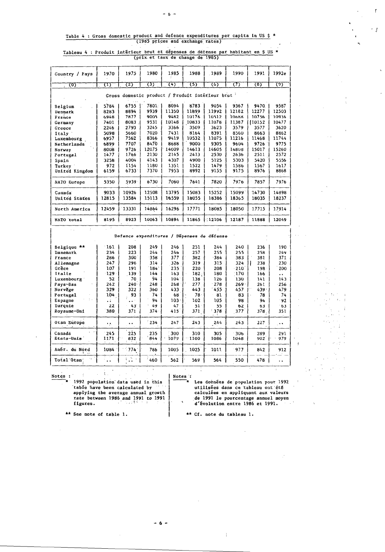$\mathfrak{f}$ 

 $\cdot$  j

 $\mathbf{r}_i$ 

# Table 4 : Gross domestic product and defence expenditures per capita in US \$ \* (1985 prices and exchange rates)  $\tilde{\mathcal{A}}$

Tableau 4 : Produit intérieur brut et dépenses de défense par habitant en \$ US \*<br>(prix et taux de change de 1985)

| Country / Pays      | 1970                                              | 1975  | 1980  | 1985  | 1988  | 1989     | 1990     | 1991   | 1992e |  |  |  |
|---------------------|---------------------------------------------------|-------|-------|-------|-------|----------|----------|--------|-------|--|--|--|
| $\langle 0 \rangle$ | π                                                 | 727   | 3)    | 74)   | (5)   | (6)      | $\sigma$ | (8)    | (9)   |  |  |  |
|                     | Gross domestic product / Produit interieur brut ' |       |       |       |       |          |          |        |       |  |  |  |
| Belgium             | 5784                                              | 6755  | 7801. | 8094  | 8783  | 9054     | 9367     | 9470.  | 9587  |  |  |  |
| Denmark             | 8283                                              | 8894  | 9939  | 11350 | 11899 | 11992    | 12182    | 12277  | 12503 |  |  |  |
| France              | 6948                                              | 7877  | 9005  | 9482  | 10176 | 10512    | 10688    | 10756  | 10936 |  |  |  |
| Germany             | 7401                                              | 8083  | 9531  | 10148 | 10833 | 11078    | 11387    | 110152 | 10477 |  |  |  |
| Greece              | 2246                                              | 2793  | 3245  | 3366  | 3509  | 3623     | 3579     | 3577   | 3620  |  |  |  |
| Italy               | 5098                                              | 5660  | 7020  | 7431  | 8164  | 8391     | 8560     | 8663   | 8862  |  |  |  |
| Luxembourg          | 6957                                              | 7562  | 8366  | 9419  | 10532 | 11075    | 11216    | 11468  | 11744 |  |  |  |
| Netherlands         | 6899                                              | 7707  | 8470  | 8688  | 9000  | 9305     | 9604     | 9726   | 9775  |  |  |  |
| Norway              | 8008                                              | 9726  | 12075 | 14009 | 14613 | 14605    | 14808    | 15017  | 15260 |  |  |  |
| Portugal            | 1477                                              | 1766  | 2130  | 2145  | 2413  | 2530     | 2636     | 2511   | 2572  |  |  |  |
| Spain               | 3258                                              | 4004  | 4143  | 4307  | 4900  | 5125     | 5303     | 5420   | 5556  |  |  |  |
| Turkey              | 972                                               | 1154  | 1180  | 1351  | 1522  | 1479     | 1586     | 1567   | 1617  |  |  |  |
| United Kingdom      | 6159                                              | 6733  | 7370  | 7953  | 8992  | 9155     | 9175     | 8976   | 8868  |  |  |  |
| NATO Europe         | 5350                                              | 5939  | 6730  | 7060  | 7641  | 7820     | 7976     | 7857   | 7976  |  |  |  |
| Canada              | 9033                                              | 10926 | 12508 | 13795 | 15083 | 15252    | 15099    | 14730  | 14898 |  |  |  |
| United States       | 12815                                             | 13584 | 15113 | 16559 | 18055 | 18386    | 18365    | 18035  | 18237 |  |  |  |
| North America       | 12459                                             | 13331 | 14864 | 16296 | 17771 | 18085    | 18050    | 17715  | 17914 |  |  |  |
| NATO total          | 8195                                              | 8923  | 10063 | 10894 | 11865 | $-12106$ | 12187    | 11888  | 12049 |  |  |  |
|                     |                                                   |       |       |       |       |          |          |        |       |  |  |  |

|               |                      |                |         |                  | Defence expenditures / Dépenses de défense |           |         |      |                      |
|---------------|----------------------|----------------|---------|------------------|--------------------------------------------|-----------|---------|------|----------------------|
| Belgique **   | 161                  | 208            | 249     | 246              | 251                                        | 244       | 240     | 236  | 190                  |
| Danemark      | 234                  | 223            | 244     | 246              | 257                                        | 255       | 255     | 258  | 249                  |
| France        | 286                  | 300.           | 358     | 377              | 382                                        | -384      | 383     | 381  | 371                  |
| Allemagne     | 247                  | 296            | 314     | 326.             | 319                                        | 315       | 324     | 238  | 230                  |
| Grèce         | 107                  | 191            | 184     | 235              | 220                                        | 208       | $-210$  | 198  | 200                  |
| Italie        | 129                  | 139            | 144     | 163              | 182:                                       | 180       | 170     | 166  | $\bullet$            |
| Luxembourg    | 52                   | 70             | 94      | $104 -$          | 138                                        | 126       | 130     | 141  | 143                  |
| Pays-Bas      | 242                  | $240 -$        | 248     | 268              | 277                                        | 278       | $269 -$ | 261  | 256                  |
| Norvege       | 329                  | 322            | 360     | 433              | 443                                        | -455      | 457     | 439. | 479                  |
| Portugal      | 104                  | 93             | 74.     | 68               | 78.                                        | 81        | 83      | 78   | 74                   |
| Espagne       | $\ddot{\phantom{a}}$ |                | 94      | 103 <sub>1</sub> | 102                                        | 105       | 98      | 94   | $-92$                |
| Turquie       | 22                   | 43             | 49      | 47               | 51 <sup>2</sup>                            | 55        | 62      | 63   | 63                   |
| Royaume-Uni   | 380                  | 371            | $374 -$ | 415              | 371                                        | 378<br>х. | 377     | 378. | 351                  |
| Otan Europe   | 17.                  | . .            | 234     | 247              | 243                                        | 244       | 243     | 227  | $\ddot{\phantom{1}}$ |
| Canadá        | 245                  | 225            | 235     | 300              | 310                                        | 305       | 306     | 289  | 291                  |
| Etats-Unis    | 1171                 | 832            | 844     | 1079             | 1100                                       | 1086      | 1048    | 902  | 979                  |
| Amér. du Nord | 1084                 | $-774$         | 786     | 1005             | 1025                                       | 1011      | 977     | 842  | 912                  |
| Total Otan    |                      | ÷<br>$\bullet$ | 460     | 562              | 569                                        | 564       | 550     | 478  | $\ddot{\phantom{0}}$ |

 $\frac{\text{Notes}}{\text{#}}$ 

Notes:<br>
\* 1992 population data used in this<br>
table have been calculated by<br>
applying the average annual growth<br>
rate between 1986 and 1991 to 1991<br>
figures.

 $\bar{\phantom{a}}$ 

÷.

Les données de population pour 1992 Les soumes de reputation pour 1772<br>calculées en appliquant aux valeurs<br>de 1991 le pourcentage annuel moyen<br>d'évolution entre 1986 et 1991.

 $\mathbf{r}$ 

\*\* See note of table 1.

\*\* Cf. note du tableau 1.

f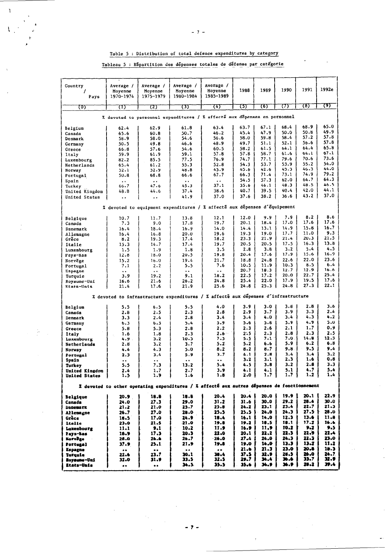# Table 5 : Distribution of total defence expenditures by category

Tableau 5 : Répartition des dépenses totales de défense par catégorie

 $\mathbf{r}$ 

 $\mathbb{I}^*$ 

| Country<br>Pays             | Average /<br>Moyenne<br>1970-1974 | Average /<br>Moyenne<br>1975-1979 | Average /<br>Moyenne<br>1980-1984                                                                       | Average /<br>Moyenne<br>1985–1989 | 1988         | 1989         | 1990                    | 1991         | 1992e        |
|-----------------------------|-----------------------------------|-----------------------------------|---------------------------------------------------------------------------------------------------------|-----------------------------------|--------------|--------------|-------------------------|--------------|--------------|
|                             |                                   |                                   |                                                                                                         |                                   |              |              |                         | 78)          | (9)          |
| 70)                         | ω                                 | 72)                               | (3)                                                                                                     | ্যে                               | 75)          | 76)          | 77                      |              |              |
|                             |                                   |                                   | % devoted to personnel expenditures / % affecté aux dépenses en personnel                               |                                   |              |              |                         |              |              |
| Belgium                     | 62.4                              | 62.9                              | 61.8                                                                                                    | 63.4                              | 63.7         | 67.1         | 68.4                    | 68.9         | 65.0         |
| Canada                      | 65.6                              | 60.8                              | 50.7                                                                                                    | 46.2                              | 45.4         | 47.9         | 50.0                    | 50.8         | 49.9         |
| Denmark                     | 58.9                              | 58.0                              | 54.6                                                                                                    | 56.6                              | 58.0         | 59.8         | 58.4                    | 57.2         | 57.8         |
| Germany                     | 50.5                              | 49.8                              | 46.6                                                                                                    | 48.9                              | 49.7         | 51.1         | 52.1                    | 56.6         | 57.8         |
| Greece                      | 66.8                              | 57.6                              | 54.6                                                                                                    | 60.5                              | 58.2         | 61.5         | 64.1                    | 64.4         | 65.8         |
| Italy                       | 59.9                              | 61.9                              | 59.1                                                                                                    | 57.8                              | 57.8         | 58.7         | 61.6                    | 64.1         | 67.1         |
| Luxembourg                  | 82.2                              | 85.5                              | 77.5                                                                                                    | 76.9                              | 74.7         | 77.1         | 79.6                    | 70.6         | 73.6<br>54.0 |
| Netherlands                 | 65.4                              | 61.2                              | 55.3                                                                                                    | 52.8                              | 54.3         | 53.7         | 53.9<br>43.3            | 55.2<br>46.3 | 44.0         |
| Norway                      | 52.1                              | 52.9                              | 48.8                                                                                                    | 43.9<br>67.7                      | 45.6<br>66.3 | 42.6<br>71.4 | 73.1                    | 74.9         | 79.2         |
| Portugal                    | 50.8                              | 68.8                              | 66.6                                                                                                    |                                   |              |              | 62.0                    | 64.7         | 64.3         |
| Spain                       | $\bullet$ $\bullet$               | $\ddot{\phantom{1}}$ .            | $\bullet$ $\bullet$<br>45.3                                                                             | $\bullet$ $\bullet$<br>37.1       | 54.5<br>35.6 | 57.3<br>46.1 | 48.3                    | 48.5         | 46.5         |
| Turkey                      | 66.7<br>48.8                      | 47.6<br>44.6                      | 37.4                                                                                                    | 38.6                              | 40.7         | 39.5         | 40.4                    | 42.0         | 44.1         |
| United Kingdom              |                                   |                                   | 41.9                                                                                                    | 37.0                              | 37.6         | 38.2         | 36.6                    | 43.2         | 37.0         |
| United States               | $\ddot{\phantom{0}}$              | $\ddot{\phantom{0}}$              |                                                                                                         |                                   |              |              |                         |              |              |
|                             |                                   |                                   | % devoted to equipment expenditures / % affecté aux dépenses d'équipement                               |                                   |              |              |                         |              |              |
| Belgique                    | 10.7                              | 11.7                              | 13.8                                                                                                    | 12.1                              | 12.0         | 9.9          | 7.9                     | 8.2          | 8.6          |
| Canada                      | 7.3                               | 9.0                               | 17.8                                                                                                    | 19.7                              | 20.1         | 18.4         | 17.0                    | 17.6         | 17.6         |
| Danemark                    | 16.4                              | 18.4                              | 16.9                                                                                                    | 14.0                              | 14.4         | 13.1         | 14.9                    | 15.8         | 16.7         |
| Allemagne                   | 16.4                              | 16.8                              | 20.0                                                                                                    | 19.6                              | 19.3         | 19.0         | 17.7                    | 11.0         | 9.3          |
| Grece                       | 8.2                               | 19.3                              | 17.4                                                                                                    | 18.2                              | 23.3         | 21.9         | 21.4                    | 20.3         | 21.5         |
| Italie                      | 15.3                              | 14.7                              | 17.4                                                                                                    | 19.7                              | 20.5         | 20.5         | 17.5                    | 16.3         | 13.8         |
| Luxembourg                  | 1.5                               | 1.9                               | 1.8                                                                                                     | 3.5                               | 2.8          | 3.8          | 3.2                     | $5 - 4$      | 4.5          |
| Pays-Bas                    | 12.8                              | 18.0                              | 20.5                                                                                                    | 19.8                              | 20.4         | 17.6         | 17.9                    | 15.6         | 16.9         |
| Norvege                     | 15.2                              | 16.0                              | 19.4                                                                                                    | 21.7                              | 18.8         | 24.8         | 22.6                    | 22.0         | 23.6         |
| Portugal                    | 7.1                               | 2.2                               | 5.5                                                                                                     | 7.6                               | 10.5         | 11.9         | 10.3                    | 8.5          | 6.4          |
| Espagne                     | $\ddot{\phantom{a}}$              | $\ddot{\phantom{1}}$              | $\cdot$ .                                                                                               | $\ddot{\phantom{0}}$              | 20.7         | 18.3         | 12.7                    | 12.9         | 16.6         |
| Turquie                     | 3.9                               | 19.2                              | 9.1                                                                                                     | 18.2                              | 22.5         | 17.2         | 20.0                    | 22.7         | 25.4         |
| Royaume-Uni                 | 16.6                              | 21.6                              | 26.2                                                                                                    | 24.8                              | 25.4         | 22.0         | 17.9                    | 19.5         | 17.6         |
| Etats-Unis                  | 21.4                              | 17.6                              | 21.9                                                                                                    | 25.6                              | 24.8         | 25.3         | 24.8                    | 27.3         | 22.1         |
|                             |                                   |                                   | % devoted to infrastructure expenditures / % affecte aux depenses d'infrastructure                      |                                   |              |              |                         |              |              |
| Belgium                     | 5.5                               | 6.5                               | 5.5                                                                                                     | 4.0                               | 3.9          | 3.0          | 3.8                     | 2.8          | 3.6          |
| Canada                      | 2.8                               | 2.5                               | 2.3                                                                                                     | 2.8                               | 2.9          | 3.7          | 3.9                     | 3.3          | 2.4          |
| Denmark                     | 3.3                               | 2.4                               | 2.8                                                                                                     | 3.4                               | 3.4          | 4.0          | 3.4                     | 4.3          | 4.2          |
| Germany                     | 6.3                               | 6.3                               | 5.4                                                                                                     | 5.9                               | 5.6          | 5.8          | 5.9                     | 4.9          | 5.0          |
| Greece                      | 5.8                               | 5.3                               | 2.8                                                                                                     | 2.2                               | 2.3          | 2.6          | 2.1                     | 1.7          | 0.9          |
| Italy                       | 1.6                               | 1.8                               | 2.3                                                                                                     | $2.6 -$                           | 2.5          | 2.3          | 2.8                     | 2.3          | 2.5          |
| Luxembourg                  | 4.9.                              | 3.2                               | 10.3                                                                                                    | 7.3                               | 5.5          | 7.1          | 7.0.                    | 14.8         | 12.3         |
| Netherlands                 | 2.8                               | 3.2                               | 3.7                                                                                                     | 5.2                               | 5.2          | 6.6          | 5.9                     | 6.2          | 6.8          |
| Norway                      | 4.4                               | 4.3                               | 5.0                                                                                                     | 8.2                               | 8.2          | 8.7          | 9.8                     | 9.5          | 9.4          |
| Portugal                    | 2.3                               | 3.4                               | 5.9                                                                                                     | 3.7                               | $4 - 1$      | 2.8          | 3.4                     | 3.4          | 3.2          |
| Spain                       | $\bullet$ $\bullet$               | $\ddot{\phantom{0}}$              | $\bullet$ $\bullet$                                                                                     | $\ddot{\phantom{0}}$              | 3.2          | 3.1          | 2.3                     | 1.6<br>2.8   | 0.8<br>3.3   |
| Turkey                      | 5.5                               | 7.3                               | 13.2                                                                                                    | 5.4                               | 4.5          | 3.8          | 3.2                     |              | 5.4          |
| United Kingdom              | 2.4                               | 1.7                               | 2.7                                                                                                     | 3.9                               | 4.1          | 4.1          | 5.1<br>$1.7 \downarrow$ | 4.7<br>$1.2$ |              |
| <b>United States</b><br>- 1 | 1.5                               | J.<br>1.9                         | 1<br>1.6<br>% devoted to other operating expenditures / % affecté aux autres dépenses de fonctionnement | Ŧ<br>1.8                          | J.<br>$2.0$  | $\cdots$     |                         |              |              |
| Belgique                    | 20.9                              | 18.8                              | 16.8                                                                                                    | 20.4                              | 20.4 l       | 20.O         | 19.9                    | 20.1         | 22.9         |
| Canada                      | 24.0                              | 27.3                              | 29.0                                                                                                    | 31.2                              | 31.6         | 30.0         | 29.2                    | 28.4         | 30.0         |
| <b>Danemark</b>             | 21.2                              | 21.0                              | 25.7                                                                                                    | 25.8                              | 24.2         | 23.1         | 23.4                    | 22.7         | 21.3         |
| Allemagne                   | 26.7                              | 27.0                              | 28.0                                                                                                    | 25.5                              | 25.5         | 24.O         | 24.3                    | 27.S I       | 28.0         |
| Grèce                       | 18.5                              | 17.0                              | 24.9                                                                                                    | 18.4                              | 16.1         | 14.0         | 12.3                    | 13.6         | 11.8         |
| <b>Ltalie</b>               | 23.0                              | 21.5                              | -21.0                                                                                                   | 19.8                              | 19.2         | 10.5         | 18.1                    | 17.2         | 16.6         |
| Luxembourg                  | 11.1                              | 9.1                               | 10.2                                                                                                    | 11.9                              | 16.9         | 11.9         | 10.2                    | 9.2          | 9.5          |
| Pays-Bas                    | 18.9                              | 17.3                              | 20.3                                                                                                    | 22.0                              | 20.1         | 22.2         | 22.3                    | 22.9         | 22.4         |
| Norvēge                     | 28.0                              | 26.6                              | 26.7                                                                                                    | 26.0                              | 27.4         | 24.0         | 24.3                    | 22.3         | 23.0         |
| Portugal                    | 37.9                              | 25.1                              | 21.9                                                                                                    | 19.8                              | 19.0         | 14.0         | 13.3 <sub>1</sub>       | 13.7         | 11.2         |
| <b>Espagne</b>              | $\bullet$<br>$\bullet$            | $\bullet$ $\bullet$               | $\bullet$ $\bullet$                                                                                     | $\bullet$ $\bullet$               | 21.6         | 21.J         | 23.0                    | 20.8         | 19.3         |
| Turquie                     | 22.6                              | 23.7                              | 30.1                                                                                                    | 38.4                              | 37.5         | 32.9         | 28.5                    | 26.0         | 24.7         |
| Royaume-Uni                 | 32.0                              | 31.9                              | 33.5                                                                                                    | 32.5                              | 29.7         | 34.4<br>34.9 | 36.6<br>36.9            | 33.7<br>28.2 | 32.9<br>39.4 |
| Etats-Unis                  | $\bullet\bullet$                  | $\bullet\bullet$                  | 34.5                                                                                                    | 35.5                              | 35.6         |              |                         |              |              |

 $-2 -$